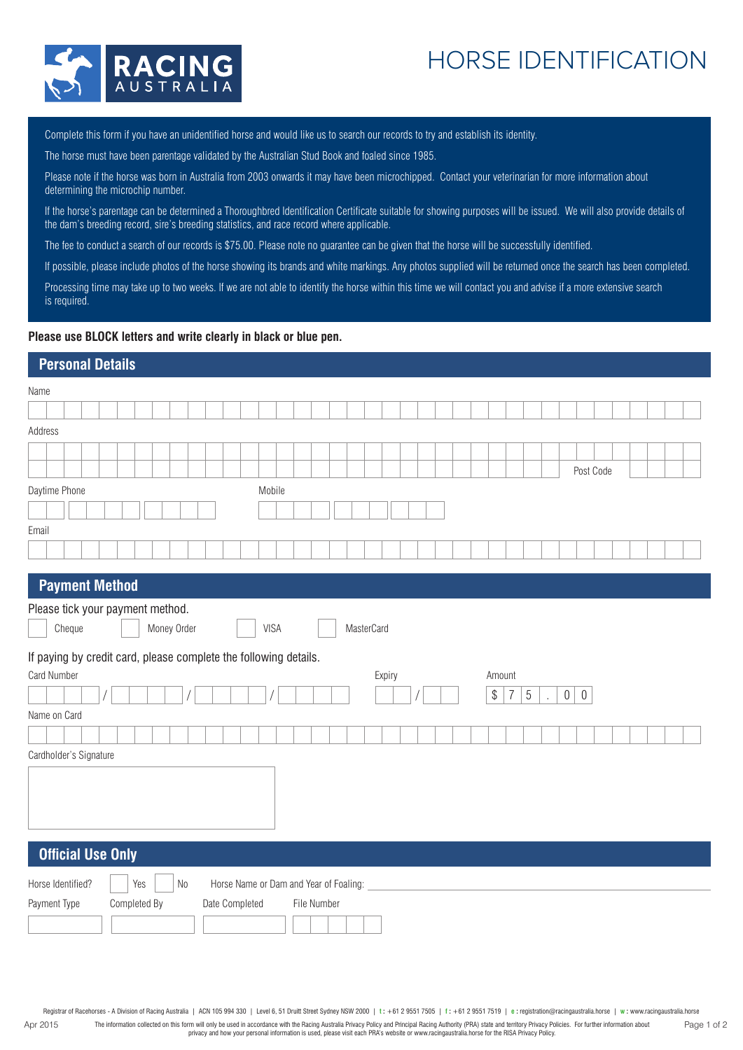## HORSE IDENTIFICATION



Complete this form if you have an unidentified horse and would like us to search our records to try and establish its identity.

The horse must have been parentage validated by the Australian Stud Book and foaled since 1985.

Please note if the horse was born in Australia from 2003 onwards it may have been microchipped. Contact your veterinarian for more information about determining the microchip number.

If the horse's parentage can be determined a Thoroughbred Identification Certificate suitable for showing purposes will be issued. We will also provide details of the dam's breeding record, sire's breeding statistics, and race record where applicable.

The fee to conduct a search of our records is \$75.00. Please note no guarantee can be given that the horse will be successfully identified.

If possible, please include photos of the horse showing its brands and white markings. Any photos supplied will be returned once the search has been completed.

Processing time may take up to two weeks. If we are not able to identify the horse within this time we will contact you and advise if a more extensive search is required.

#### **Please use BLOCK letters and write clearly in black or blue pen.**

### **Personal Details**

| Name                                                             |        |                                  |              |     |             |  |  |                |             |  |             |                                        |            |        |  |  |  |        |                |   |                          |                |                  |  |  |  |
|------------------------------------------------------------------|--------|----------------------------------|--------------|-----|-------------|--|--|----------------|-------------|--|-------------|----------------------------------------|------------|--------|--|--|--|--------|----------------|---|--------------------------|----------------|------------------|--|--|--|
|                                                                  |        |                                  |              |     |             |  |  |                |             |  |             |                                        |            |        |  |  |  |        |                |   |                          |                |                  |  |  |  |
| Address                                                          |        |                                  |              |     |             |  |  |                |             |  |             |                                        |            |        |  |  |  |        |                |   |                          |                |                  |  |  |  |
|                                                                  |        |                                  |              |     |             |  |  |                |             |  |             |                                        |            |        |  |  |  |        |                |   |                          |                |                  |  |  |  |
|                                                                  |        |                                  |              |     |             |  |  |                |             |  |             |                                        |            |        |  |  |  |        |                |   |                          |                | Post Code        |  |  |  |
| Daytime Phone                                                    |        |                                  |              |     |             |  |  |                | Mobile      |  |             |                                        |            |        |  |  |  |        |                |   |                          |                |                  |  |  |  |
|                                                                  |        |                                  |              |     |             |  |  |                |             |  |             |                                        |            |        |  |  |  |        |                |   |                          |                |                  |  |  |  |
| Email                                                            |        |                                  |              |     |             |  |  |                |             |  |             |                                        |            |        |  |  |  |        |                |   |                          |                |                  |  |  |  |
|                                                                  |        |                                  |              |     |             |  |  |                |             |  |             |                                        |            |        |  |  |  |        |                |   |                          |                |                  |  |  |  |
|                                                                  |        |                                  |              |     |             |  |  |                |             |  |             |                                        |            |        |  |  |  |        |                |   |                          |                |                  |  |  |  |
|                                                                  |        | <b>Payment Method</b>            |              |     |             |  |  |                |             |  |             |                                        |            |        |  |  |  |        |                |   |                          |                |                  |  |  |  |
|                                                                  |        | Please tick your payment method. |              |     |             |  |  |                |             |  |             |                                        |            |        |  |  |  |        |                |   |                          |                |                  |  |  |  |
|                                                                  | Cheque |                                  |              |     | Money Order |  |  |                | <b>VISA</b> |  |             |                                        | MasterCard |        |  |  |  |        |                |   |                          |                |                  |  |  |  |
|                                                                  |        |                                  |              |     |             |  |  |                |             |  |             |                                        |            |        |  |  |  |        |                |   |                          |                |                  |  |  |  |
|                                                                  |        |                                  |              |     |             |  |  |                |             |  |             |                                        |            |        |  |  |  |        |                |   |                          |                |                  |  |  |  |
| If paying by credit card, please complete the following details. |        |                                  |              |     |             |  |  |                |             |  |             |                                        |            |        |  |  |  |        |                |   |                          |                |                  |  |  |  |
| Card Number                                                      |        |                                  |              |     |             |  |  |                |             |  |             |                                        |            | Expiry |  |  |  | Amount |                |   |                          |                |                  |  |  |  |
|                                                                  |        |                                  |              |     |             |  |  |                |             |  |             |                                        |            |        |  |  |  | $\$$   | $\overline{7}$ | 5 | $\overline{\phantom{a}}$ | $\overline{0}$ | $\boldsymbol{0}$ |  |  |  |
| Name on Card                                                     |        |                                  |              |     |             |  |  |                |             |  |             |                                        |            |        |  |  |  |        |                |   |                          |                |                  |  |  |  |
|                                                                  |        |                                  |              |     |             |  |  |                |             |  |             |                                        |            |        |  |  |  |        |                |   |                          |                |                  |  |  |  |
|                                                                  |        | Cardholder's Signature           |              |     |             |  |  |                |             |  |             |                                        |            |        |  |  |  |        |                |   |                          |                |                  |  |  |  |
|                                                                  |        |                                  |              |     |             |  |  |                |             |  |             |                                        |            |        |  |  |  |        |                |   |                          |                |                  |  |  |  |
|                                                                  |        |                                  |              |     |             |  |  |                |             |  |             |                                        |            |        |  |  |  |        |                |   |                          |                |                  |  |  |  |
|                                                                  |        |                                  |              |     |             |  |  |                |             |  |             |                                        |            |        |  |  |  |        |                |   |                          |                |                  |  |  |  |
|                                                                  |        |                                  |              |     |             |  |  |                |             |  |             |                                        |            |        |  |  |  |        |                |   |                          |                |                  |  |  |  |
|                                                                  |        | <b>Official Use Only</b>         |              |     |             |  |  |                |             |  |             |                                        |            |        |  |  |  |        |                |   |                          |                |                  |  |  |  |
| Horse Identified?                                                |        |                                  |              | Yes | $\rm No$    |  |  |                |             |  |             | Horse Name or Dam and Year of Foaling: |            |        |  |  |  |        |                |   |                          |                |                  |  |  |  |
| Payment Type                                                     |        |                                  | Completed By |     |             |  |  | Date Completed |             |  | File Number |                                        |            |        |  |  |  |        |                |   |                          |                |                  |  |  |  |